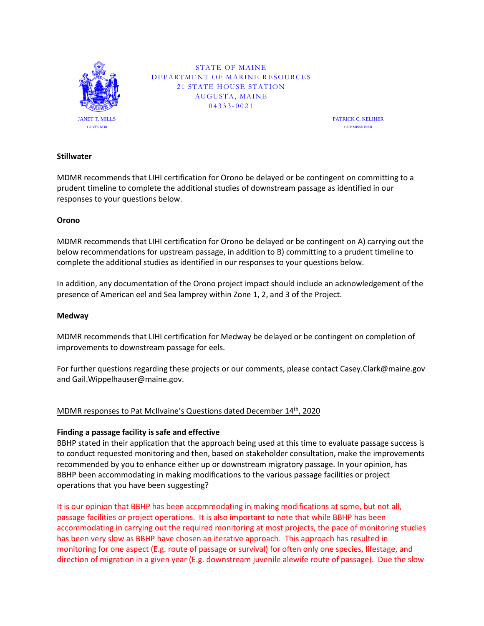

STATE OF MAINE DEPARTMENT OF MARINE RESOURCES 21 STATE HOUSE STATION AUGUSTA, MAINE 04333-0021<br>0F MARIN<br>E HOUSE S'<br>5USTA, MA

PATRICK C. KELIHER **COMMISSIONER** 

### **Stillwater**

MDMR recommends that LIHI certification for Orono be delayed or be contingent on committing to a prudent timeline to complete the additional studies of downstream passage as identified in our responses to your questions below.

#### **Orono**

MDMR recommends that LIHI certification for Orono be delayed or be contingent on A) carrying out the below recommendations for upstream passage, in addition to B) committing to a prudent timeline to complete the additional studies as identified in our responses to your questions below.

In addition, any documentation of the Orono project impact should include an acknowledgement of the presence of American eel and Sea lamprey within Zone 1, 2, and 3 of the Project.

#### **Medway**

MDMR recommends that LIHI certification for Medway be delayed or be contingent on completion of improvements to downstream passage for eels.

For further questions regarding these projects or our comments, please contact Casey.Clark@maine.gov and Gail.Wippelhauser@maine.gov.

## MDMR responses to Pat McIlvaine's Questions dated December 14<sup>th</sup>, 2020

#### **Finding a passage facility is safe and effective**

BBHP stated in their application that the approach being used at this time to evaluate passage success is to conduct requested monitoring and then, based on stakeholder consultation, make the improvements recommended by you to enhance either up or downstream migratory passage. In your opinion, has BBHP been accommodating in making modifications to the various passage facilities or project operations that you have been suggesting?

It is our opinion that BBHP has been accommodating in making modifications at some, but not all, passage facilities or project operations. It is also important to note that while BBHP has been accommodating in carrying out the required monitoring at most projects, the pace of monitoring studies has been very slow as BBHP have chosen an iterative approach. This approach has resulted in monitoring for one aspect (E.g. route of passage or survival) for often only one species, lifestage, and direction of migration in a given year (E.g. downstream juvenile alewife route of passage). Due the slow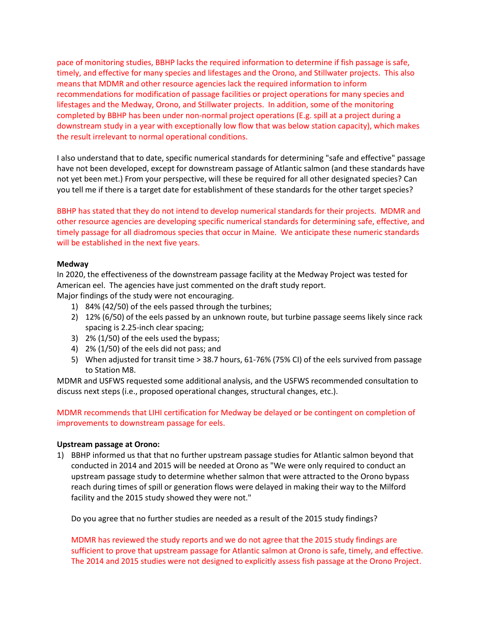pace of monitoring studies, BBHP lacks the required information to determine if fish passage is safe, timely, and effective for many species and lifestages and the Orono, and Stillwater projects. This also means that MDMR and other resource agencies lack the required information to inform recommendations for modification of passage facilities or project operations for many species and lifestages and the Medway, Orono, and Stillwater projects. In addition, some of the monitoring completed by BBHP has been under non-normal project operations (E.g. spill at a project during a downstream study in a year with exceptionally low flow that was below station capacity), which makes the result irrelevant to normal operational conditions.

I also understand that to date, specific numerical standards for determining "safe and effective" passage have not been developed, except for downstream passage of Atlantic salmon (and these standards have not yet been met.) From your perspective, will these be required for all other designated species? Can you tell me if there is a target date for establishment of these standards for the other target species?

BBHP has stated that they do not intend to develop numerical standards for their projects. MDMR and other resource agencies are developing specific numerical standards for determining safe, effective, and timely passage for all diadromous species that occur in Maine. We anticipate these numeric standards will be established in the next five years.

#### **Medway**

In 2020, the effectiveness of the downstream passage facility at the Medway Project was tested for American eel. The agencies have just commented on the draft study report.

Major findings of the study were not encouraging.

- 1) 84% (42/50) of the eels passed through the turbines;
- 2) 12% (6/50) of the eels passed by an unknown route, but turbine passage seems likely since rack spacing is 2.25-inch clear spacing;
- 3) 2% (1/50) of the eels used the bypass;
- 4) 2% (1/50) of the eels did not pass; and
- 5) When adjusted for transit time > 38.7 hours, 61-76% (75% CI) of the eels survived from passage to Station M8.

MDMR and USFWS requested some additional analysis, and the USFWS recommended consultation to discuss next steps (i.e., proposed operational changes, structural changes, etc.).

MDMR recommends that LIHI certification for Medway be delayed or be contingent on completion of improvements to downstream passage for eels.

#### **Upstream passage at Orono:**

1) BBHP informed us that that no further upstream passage studies for Atlantic salmon beyond that conducted in 2014 and 2015 will be needed at Orono as "We were only required to conduct an upstream passage study to determine whether salmon that were attracted to the Orono bypass reach during times of spill or generation flows were delayed in making their way to the Milford facility and the 2015 study showed they were not."

Do you agree that no further studies are needed as a result of the 2015 study findings?

MDMR has reviewed the study reports and we do not agree that the 2015 study findings are sufficient to prove that upstream passage for Atlantic salmon at Orono is safe, timely, and effective. The 2014 and 2015 studies were not designed to explicitly assess fish passage at the Orono Project.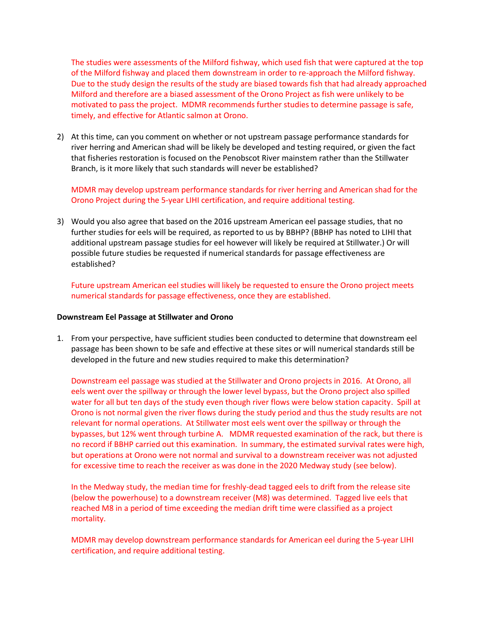The studies were assessments of the Milford fishway, which used fish that were captured at the top of the Milford fishway and placed them downstream in order to re-approach the Milford fishway. Due to the study design the results of the study are biased towards fish that had already approached Milford and therefore are a biased assessment of the Orono Project as fish were unlikely to be motivated to pass the project. MDMR recommends further studies to determine passage is safe, timely, and effective for Atlantic salmon at Orono.

2) At this time, can you comment on whether or not upstream passage performance standards for river herring and American shad will be likely be developed and testing required, or given the fact that fisheries restoration is focused on the Penobscot River mainstem rather than the Stillwater Branch, is it more likely that such standards will never be established?

MDMR may develop upstream performance standards for river herring and American shad for the Orono Project during the 5-year LIHI certification, and require additional testing.

3) Would you also agree that based on the 2016 upstream American eel passage studies, that no further studies for eels will be required, as reported to us by BBHP? (BBHP has noted to LIHI that additional upstream passage studies for eel however will likely be required at Stillwater.) Or will possible future studies be requested if numerical standards for passage effectiveness are established?

Future upstream American eel studies will likely be requested to ensure the Orono project meets numerical standards for passage effectiveness, once they are established.

#### **Downstream Eel Passage at Stillwater and Orono**

1. From your perspective, have sufficient studies been conducted to determine that downstream eel passage has been shown to be safe and effective at these sites or will numerical standards still be developed in the future and new studies required to make this determination?

Downstream eel passage was studied at the Stillwater and Orono projects in 2016. At Orono, all eels went over the spillway or through the lower level bypass, but the Orono project also spilled water for all but ten days of the study even though river flows were below station capacity. Spill at Orono is not normal given the river flows during the study period and thus the study results are not relevant for normal operations. At Stillwater most eels went over the spillway or through the bypasses, but 12% went through turbine A. MDMR requested examination of the rack, but there is no record if BBHP carried out this examination. In summary, the estimated survival rates were high, but operations at Orono were not normal and survival to a downstream receiver was not adjusted for excessive time to reach the receiver as was done in the 2020 Medway study (see below).

In the Medway study, the median time for freshly-dead tagged eels to drift from the release site (below the powerhouse) to a downstream receiver (M8) was determined. Tagged live eels that reached M8 in a period of time exceeding the median drift time were classified as a project mortality.

MDMR may develop downstream performance standards for American eel during the 5-year LIHI certification, and require additional testing.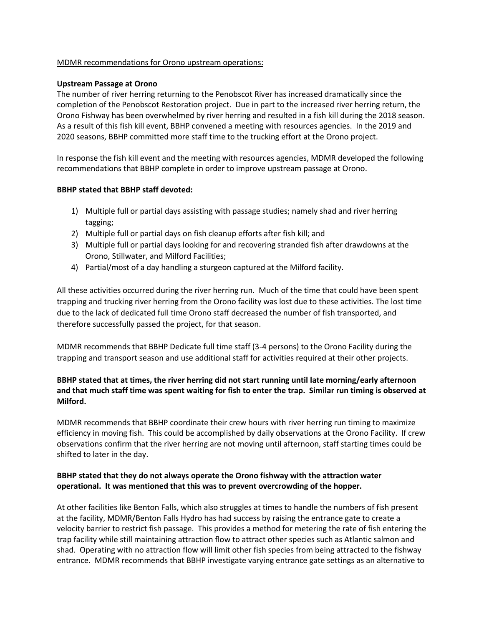### MDMR recommendations for Orono upstream operations:

#### **Upstream Passage at Orono**

The number of river herring returning to the Penobscot River has increased dramatically since the completion of the Penobscot Restoration project. Due in part to the increased river herring return, the Orono Fishway has been overwhelmed by river herring and resulted in a fish kill during the 2018 season. As a result of this fish kill event, BBHP convened a meeting with resources agencies. In the 2019 and 2020 seasons, BBHP committed more staff time to the trucking effort at the Orono project.

In response the fish kill event and the meeting with resources agencies, MDMR developed the following recommendations that BBHP complete in order to improve upstream passage at Orono.

### **BBHP stated that BBHP staff devoted:**

- 1) Multiple full or partial days assisting with passage studies; namely shad and river herring tagging;
- 2) Multiple full or partial days on fish cleanup efforts after fish kill; and
- 3) Multiple full or partial days looking for and recovering stranded fish after drawdowns at the Orono, Stillwater, and Milford Facilities;
- 4) Partial/most of a day handling a sturgeon captured at the Milford facility.

All these activities occurred during the river herring run. Much of the time that could have been spent trapping and trucking river herring from the Orono facility was lost due to these activities. The lost time due to the lack of dedicated full time Orono staff decreased the number of fish transported, and therefore successfully passed the project, for that season.

MDMR recommends that BBHP Dedicate full time staff (3-4 persons) to the Orono Facility during the trapping and transport season and use additional staff for activities required at their other projects.

# **BBHP stated that at times, the river herring did not start running until late morning/early afternoon and that much staff time was spent waiting for fish to enter the trap. Similar run timing is observed at Milford.**

MDMR recommends that BBHP coordinate their crew hours with river herring run timing to maximize efficiency in moving fish. This could be accomplished by daily observations at the Orono Facility. If crew observations confirm that the river herring are not moving until afternoon, staff starting times could be shifted to later in the day.

## **BBHP stated that they do not always operate the Orono fishway with the attraction water operational. It was mentioned that this was to prevent overcrowding of the hopper.**

At other facilities like Benton Falls, which also struggles at times to handle the numbers of fish present at the facility, MDMR/Benton Falls Hydro has had success by raising the entrance gate to create a velocity barrier to restrict fish passage. This provides a method for metering the rate of fish entering the trap facility while still maintaining attraction flow to attract other species such as Atlantic salmon and shad. Operating with no attraction flow will limit other fish species from being attracted to the fishway entrance. MDMR recommends that BBHP investigate varying entrance gate settings as an alternative to